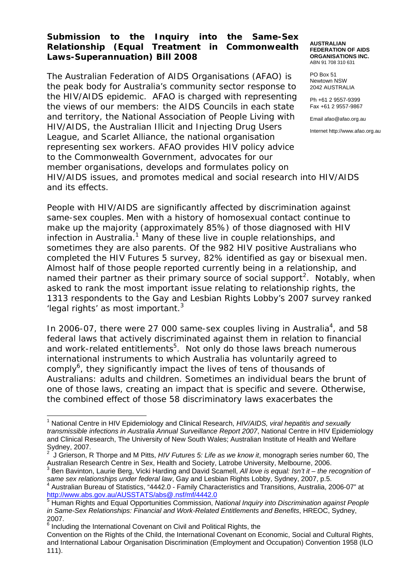### **Submission to the Inquiry into the Same-Sex Relationship (Equal Treatment in Commonwealth Laws-Superannuation) Bill 2008**

The Australian Federation of AIDS Organisations (AFAO) is the peak body for Australia's community sector response to the HIV/AIDS epidemic. AFAO is charged with representing the views of our members: the AIDS Councils in each state and territory, the National Association of People Living with HIV/AIDS, the Australian Illicit and Injecting Drug Users League, and Scarlet Alliance, the national organisation representing sex workers. AFAO provides HIV policy advice to the Commonwealth Government, advocates for our member organisations, develops and formulates policy on HIV/AIDS issues, and promotes medical and social research into HIV/AIDS and its effects. PO Box 51 Newtown NSW

People with HIV/AIDS are significantly affected by discrimination against same-sex couples. Men with a history of homosexual contact continue to make up the majority (approximately 85%) of those diagnosed with HIV infection in Australia.<sup>1</sup> Many of these live in couple relationships, and sometimes they are also parents. Of the 982 HIV positive Australians who completed the *HIV Futures* 5 survey, 82% identified as gay or bisexual men. Almost half of those people reported currently being in a relationship, and named their partner as their primary source of social support<sup>2</sup>. Notably, when asked to rank the most important issue relating to relationship rights, the 1313 respondents to the Gay and Lesbian Rights Lobby's 2007 survey ranked 'legal rights' as most important. $3$ 

In 2006-07, there were 27 000 same-sex couples living in Australia<sup>4</sup>, and 58 federal laws that actively discriminated against them in relation to financial and work-related entitlements<sup>5</sup>. Not only do those laws breach numerous international instruments to which Australia has voluntarily agreed to comply<sup>6</sup>, they significantly impact the lives of tens of thousands of Australians: adults and children. Sometimes an individual bears the brunt of one of those laws, creating an impact that is specific and severe. Otherwise, the combined effect of those 58 discriminatory laws exacerbates the

3 Ben Bavinton, Laurie Berg, Vicki Harding and David Scamell, *All love is equal: Isn't it – the recognition of same sex relationships under federal law*, Gay and Lesbian Rights Lobby, Sydney, 2007, p.5. 4

<sup>4</sup> Australian Bureau of Statistics, "4442.0 - Family Characteristics and Transitions, Australia, 2006-07" at http://www.abs.gov.au/AUSSTATS/abs@.nsf/mf/4442.0<br>5 Human Diskts.co.d F

#### **AUSTRALIAN FEDERATION OF AIDS ORGANISATIONS INC.**  ABN 91 708 310 631

2042 AUSTRALIA

Ph +61 2 9557-9399 Fax +61 2 9557-9867

Email afao@afao.org.au

Internet http://www.afao.org.au

 $\overline{a}$ <sup>1</sup> National Centre in HIV Epidemiology and Clinical Research, *HIV/AIDS, viral hepatitis and sexually transmissible infections in Australia Annual Surveillance Report 2007*, National Centre in HIV Epidemiology and Clinical Research, The University of New South Wales; Australian Institute of Health and Welfare Sydney, 2007.<br><sup>2</sup> LOriereen D

J Grierson, R Thorpe and M Pitts, *HIV Futures 5: Life as we know it*, monograph series number 60, The Australian Research Centre in Sex, Health and Society, Latrobe University, Melbourne, 2006.

Human Rights and Equal Opportunities Commission, *National Inquiry into Discrimination against People in Same-Sex Relationships: Financial and Work-Related Entitlements and Benefits*, HREOC, Sydney, 2007.

<sup>6</sup> Including the International Covenant on Civil and Political Rights, the

Convention on the Rights of the Child, the International Covenant on Economic, Social and Cultural Rights, and International Labour Organisation Discrimination (Employment and Occupation) Convention 1958 (ILO 111).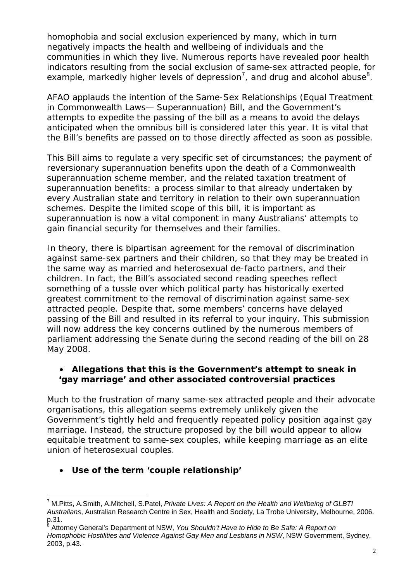homophobia and social exclusion experienced by many, which in turn negatively impacts the health and wellbeing of individuals and the communities in which they live. Numerous reports have revealed poor health indicators resulting from the social exclusion of same-sex attracted people, for example, markedly higher levels of depression<sup>7</sup>, and drug and alcohol abuse<sup>8</sup>.

AFAO applauds the intention of the *Same-Sex Relationships (Equal Treatment in Commonwealth Laws— Superannuation) Bill*, and the Government's attempts to expedite the passing of the bill as a means to avoid the delays anticipated when the omnibus bill is considered later this year. It is vital that the Bill's benefits are passed on to those directly affected as soon as possible.

This Bill aims to regulate a very specific set of circumstances; the payment of reversionary superannuation benefits upon the death of a Commonwealth superannuation scheme member, and the related taxation treatment of superannuation benefits: a process similar to that already undertaken by every Australian state and territory in relation to their own superannuation schemes. Despite the limited scope of this bill, it is important as superannuation is now a vital component in many Australians' attempts to gain financial security for themselves and their families.

In theory, there is bipartisan agreement for the removal of discrimination against same-sex partners and their children, so that they may be treated in the same way as married and heterosexual de-facto partners, and their children. In fact, the Bill's associated second reading speeches reflect something of a tussle over which political party has historically exerted greatest commitment to the removal of discrimination against same-sex attracted people. Despite that, some members' concerns have delayed passing of the Bill and resulted in its referral to your inquiry. This submission will now address the key concerns outlined by the numerous members of parliament addressing the Senate during the second reading of the bill on 28 May 2008.

## • **Allegations that this is the Government's attempt to sneak in 'gay marriage' and other associated controversial practices**

Much to the frustration of many same-sex attracted people and their advocate organisations, this allegation seems extremely unlikely given the Government's tightly held and frequently repeated policy position against gay marriage. Instead, the structure proposed by the bill would appear to allow equitable treatment to same-sex couples, while keeping marriage as an elite union of heterosexual couples.

# • **Use of the term 'couple relationship'**

 $\overline{a}$ 7 M.Pitts, A.Smith, A.Mitchell, S.Patel, *Private Lives: A Report on the Health and Wellbeing of GLBTI Australians*, Australian Research Centre in Sex, Health and Society, La Trobe University, Melbourne, 2006.  $p.31.$ <sup>8</sup>

Attorney General's Department of NSW, *You Shouldn't Have to Hide to Be Safe: A Report on Homophobic Hostilities and Violence Against Gay Men and Lesbians in NSW*, NSW Government, Sydney, 2003, p.43.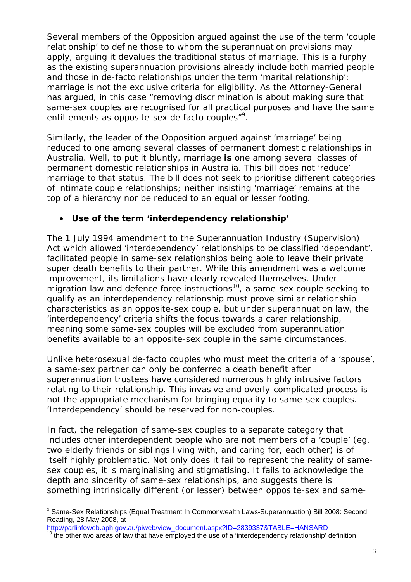Several members of the Opposition argued against the use of the term 'couple relationship' to define those to whom the superannuation provisions may apply, arguing it devalues the traditional status of marriage. This is a furphy as the existing superannuation provisions already include both married people and those in de-facto relationships under the term 'marital relationship': marriage is not the exclusive criteria for eligibility. As the Attorney-General has argued, in this case "removing discrimination is about making sure that same-sex couples are recognised for all practical purposes and have the same entitlements as opposite-sex de facto couples"<sup>9</sup>.

Similarly, the leader of the Opposition argued against 'marriage' being reduced to one among several classes of permanent domestic relationships in Australia. Well, to put it bluntly, marriage **is** one among several classes of permanent domestic relationships in Australia. This bill does not 'reduce' marriage to that status. The bill does not seek to prioritise different categories of intimate couple relationships; neither insisting 'marriage' remains at the top of a hierarchy nor be reduced to an equal or lesser footing.

## • **Use of the term 'interdependency relationship'**

The 1 July 1994 amendment to the *Superannuation Industry (Supervision)*  Act which allowed 'interdependency' relationships to be classified 'dependant', facilitated people in same-sex relationships being able to leave their private super death benefits to their partner. While this amendment was a welcome improvement, its limitations have clearly revealed themselves. Under migration law and defence force instructions<sup>10</sup>, a same-sex couple seeking to qualify as an interdependency relationship must prove similar relationship characteristics as an opposite-sex couple, but under superannuation law, the 'interdependency' criteria shifts the focus towards a *carer* relationship, meaning some same-sex couples will be excluded from superannuation benefits available to an opposite-sex couple in the same circumstances.

Unlike heterosexual de-facto couples who must meet the criteria of a 'spouse', a same-sex partner can only be conferred a death benefit after superannuation trustees have considered numerous highly intrusive factors relating to their relationship. This invasive and overly-complicated process is not the appropriate mechanism for bringing equality to same-sex couples. 'Interdependency' should be reserved for non-couples.

In fact, the relegation of same-sex couples to a separate category that includes other interdependent people who are not members of a 'couple' (eg. two elderly friends or siblings living with, and caring for, each other) is of itself highly problematic. Not only does it fail to represent the reality of samesex couples, it is marginalising and stigmatising. It fails to acknowledge the depth and sincerity of same-sex relationships, and suggests there is something intrinsically different (or lesser) between opposite-sex and same-

 $\overline{a}$ <sup>9</sup> Same-Sex Relationships (Equal Treatment In Commonwealth Laws-Superannuation) Bill 2008: Second Reading, 28 May 2008, at

http://parlinfoweb.aph.gov.au/piweb/view\_document.aspx?ID=2839337&TABLE=HANSARD<br><sup>10</sup> the other two areas of law that have employed the use of a 'interdependency relationship' definition